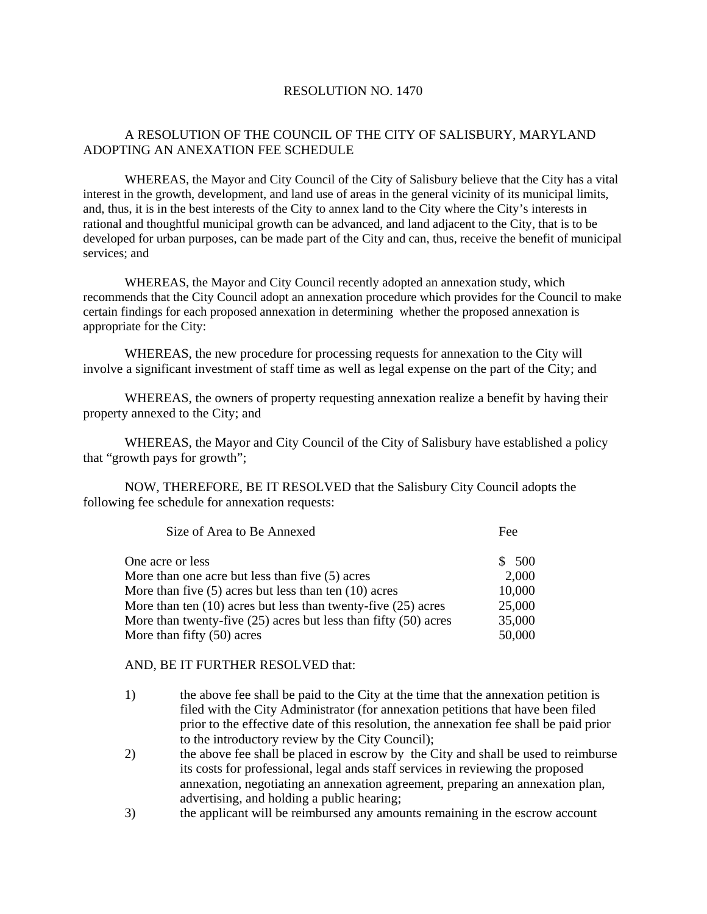## RESOLUTION NO. 1470

## A RESOLUTION OF THE COUNCIL OF THE CITY OF SALISBURY, MARYLAND ADOPTING AN ANEXATION FEE SCHEDULE

WHEREAS, the Mayor and City Council of the City of Salisbury believe that the City has a vital interest in the growth, development, and land use of areas in the general vicinity of its municipal limits, and, thus, it is in the best interests of the City to annex land to the City where the City's interests in rational and thoughtful municipal growth can be advanced, and land adjacent to the City, that is to be developed for urban purposes, can be made part of the City and can, thus, receive the benefit of municipal services; and

WHEREAS, the Mayor and City Council recently adopted an annexation study, which recommends that the City Council adopt an annexation procedure which provides for the Council to make certain findings for each proposed annexation in determining whether the proposed annexation is appropriate for the City:

WHEREAS, the new procedure for processing requests for annexation to the City will involve a significant investment of staff time as well as legal expense on the part of the City; and

WHEREAS, the owners of property requesting annexation realize a benefit by having their property annexed to the City; and

WHEREAS, the Mayor and City Council of the City of Salisbury have established a policy that "growth pays for growth";

NOW, THEREFORE, BE IT RESOLVED that the Salisbury City Council adopts the following fee schedule for annexation requests:

| Size of Area to Be Annexed                                          | Fee    |
|---------------------------------------------------------------------|--------|
| One acre or less                                                    | \$ 500 |
| More than one acre but less than five (5) acres                     | 2,000  |
| More than five $(5)$ acres but less than ten $(10)$ acres           | 10,000 |
| More than ten $(10)$ acres but less than twenty-five $(25)$ acres   | 25,000 |
| More than twenty-five $(25)$ acres but less than fifty $(50)$ acres | 35,000 |
| More than fifty (50) acres                                          | 50,000 |

## AND, BE IT FURTHER RESOLVED that:

- 1) the above fee shall be paid to the City at the time that the annexation petition is filed with the City Administrator (for annexation petitions that have been filed prior to the effective date of this resolution, the annexation fee shall be paid prior to the introductory review by the City Council);
- 2) the above fee shall be placed in escrow by the City and shall be used to reimburse its costs for professional, legal ands staff services in reviewing the proposed annexation, negotiating an annexation agreement, preparing an annexation plan, advertising, and holding a public hearing;
- 3) the applicant will be reimbursed any amounts remaining in the escrow account